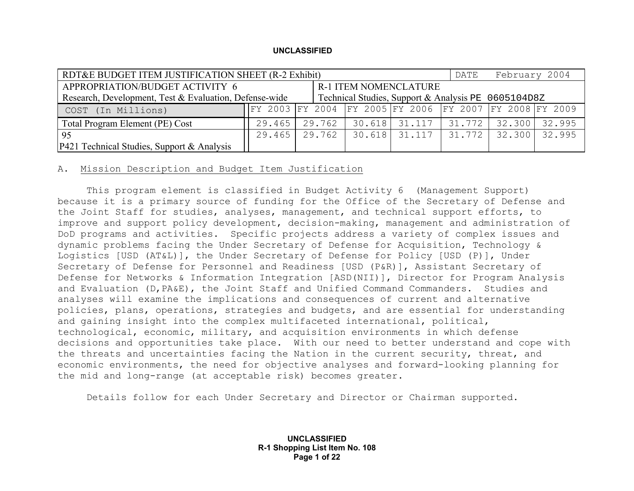| RDT&E BUDGET ITEM JUSTIFICATION SHEET (R-2 Exhibit)                                                           |                              |        |  | DATE                                                    | February 2004 |  |               |
|---------------------------------------------------------------------------------------------------------------|------------------------------|--------|--|---------------------------------------------------------|---------------|--|---------------|
| APPROPRIATION/BUDGET ACTIVITY 6                                                                               | <b>R-1 ITEM NOMENCLATURE</b> |        |  |                                                         |               |  |               |
| Technical Studies, Support & Analysis PE 0605104D8Z<br>Research, Development, Test & Evaluation, Defense-wide |                              |        |  |                                                         |               |  |               |
| COST (In Millions)                                                                                            |                              |        |  | FY 2003 FY 2004 FY 2005 FY 2006 FY 2007 FY 2008 FY 2009 |               |  |               |
| Total Program Element (PE) Cost                                                                               | $29.465$                     | 29.762 |  | 30.618 31.117 31.772                                    |               |  | 32.300 32.995 |
| 95                                                                                                            | 29.465                       | 29.762 |  | 30.618 31.117                                           | 31.772        |  | 32.300 32.995 |
| P421 Technical Studies, Support & Analysis                                                                    |                              |        |  |                                                         |               |  |               |

## A. Mission Description and Budget Item Justification

 This program element is classified in Budget Activity 6 (Management Support) because it is a primary source of funding for the Office of the Secretary of Defense and the Joint Staff for studies, analyses, management, and technical support efforts, to improve and support policy development, decision-making, management and administration of DoD programs and activities. Specific projects address a variety of complex issues and dynamic problems facing the Under Secretary of Defense for Acquisition, Technology & Logistics [USD (AT&L)], the Under Secretary of Defense for Policy [USD (P)], Under Secretary of Defense for Personnel and Readiness [USD (P&R)], Assistant Secretary of Defense for Networks & Information Integration [ASD(NII)], Director for Program Analysis and Evaluation (D,PA&E), the Joint Staff and Unified Command Commanders. Studies and analyses will examine the implications and consequences of current and alternative policies, plans, operations, strategies and budgets, and are essential for understanding and gaining insight into the complex multifaceted international, political, technological, economic, military, and acquisition environments in which defense decisions and opportunities take place. With our need to better understand and cope with the threats and uncertainties facing the Nation in the current security, threat, and economic environments, the need for objective analyses and forward-looking planning for the mid and long-range (at acceptable risk) becomes greater.

Details follow for each Under Secretary and Director or Chairman supported.

**UNCLASSIFIED R-1 Shopping List Item No. 108 Page 1 of 22**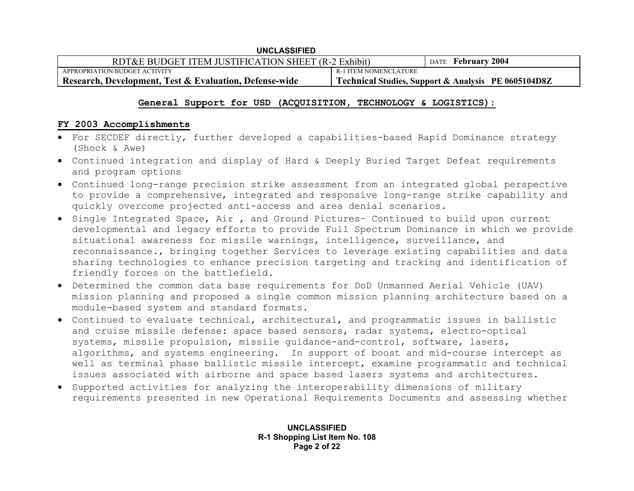| <b>UNCLASSIFIED</b>                                               |                       |                                                     |  |
|-------------------------------------------------------------------|-----------------------|-----------------------------------------------------|--|
| RDT&E BUDGET ITEM JUSTIFICATION SHEET (R-2 Exhibit)               |                       | DATE February 2004                                  |  |
| APPROPRIATION/BUDGET ACTIVITY                                     | R-1 ITEM NOMENCLATURE |                                                     |  |
| <b>Research, Development, Test &amp; Evaluation, Defense-wide</b> |                       | Technical Studies, Support & Analysis PE 0605104D8Z |  |

## **General Support for USD (ACQUISITION, TECHNOLOGY & LOGISTICS):**

## **FY 2003 Accomplishments**

- For SECDEF directly, further developed a capabilities-based Rapid Dominance strategy (Shock & Awe)
- Continued integration and display of Hard & Deeply Buried Target Defeat requirements and program options
- Continued long-range precision strike assessment from an integrated global perspective to provide a comprehensive, integrated and responsive long-range strike capability and quickly overcome projected anti-access and area denial scenarios.
- Single Integrated Space, Air , and Ground Pictures– Continued to build upon current developmental and legacy efforts to provide Full Spectrum Dominance in which we provide situational awareness for missile warnings, intelligence, surveillance, and reconnaissance., bringing together Services to leverage existing capabilities and data sharing technologies to enhance precision targeting and tracking and identification of friendly forces on the battlefield.
- Determined the common data base requirements for DoD Unmanned Aerial Vehicle (UAV) mission planning and proposed a single common mission planning architecture based on a module-based system and standard formats.
- Continued to evaluate technical, architectural, and programmatic issues in ballistic and cruise missile defense: space based sensors, radar systems, electro-optical systems, missile propulsion, missile guidance-and-control, software, lasers, algorithms, and systems engineering. In support of boost and mid-course intercept as well as terminal phase ballistic missile intercept, examine programmatic and technical issues associated with airborne and space based lasers systems and architectures.
- Supported activities for analyzing the interoperability dimensions of military requirements presented in new Operational Requirements Documents and assessing whether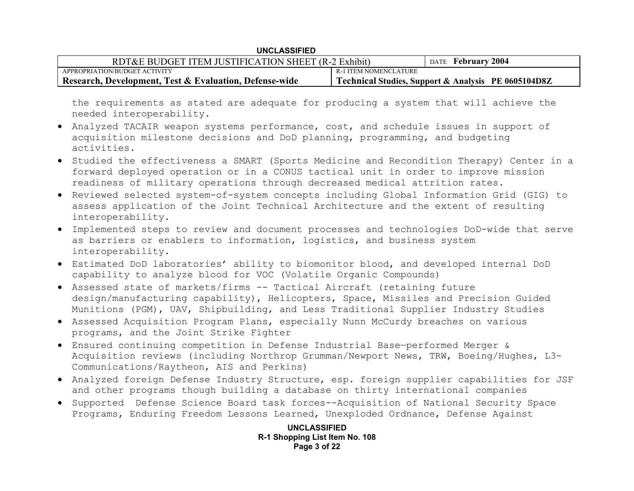| RDT&E BUDGET ITEM JUSTIFICATION SHEET (R-2 Exhibit)    |                       | DATE February 2004                                  |
|--------------------------------------------------------|-----------------------|-----------------------------------------------------|
| APPROPRIATION/BUDGET ACTIVITY                          | R-1 ITEM NOMENCLATURE |                                                     |
| Research, Development, Test & Evaluation, Defense-wide |                       | Technical Studies, Support & Analysis PE 0605104D8Z |

the requirements as stated are adequate for producing a system that will achieve the needed interoperability.

- Analyzed TACAIR weapon systems performance, cost, and schedule issues in support of acquisition milestone decisions and DoD planning, programming, and budgeting activities.
- Studied the effectiveness a SMART (Sports Medicine and Recondition Therapy) Center in a forward deployed operation or in a CONUS tactical unit in order to improve mission readiness of military operations through decreased medical attrition rates.
- Reviewed selected system-of-system concepts including Global Information Grid (GIG) to assess application of the Joint Technical Architecture and the extent of resulting interoperability.
- Implemented steps to review and document processes and technologies DoD-wide that serve as barriers or enablers to information, logistics, and business system interoperability.
- Estimated DoD laboratories' ability to biomonitor blood, and developed internal DoD capability to analyze blood for VOC (Volatile Organic Compounds)
- Assessed state of markets/firms -- Tactical Aircraft (retaining future design/manufacturing capability), Helicopters, Space, Missiles and Precision Guided Munitions (PGM), UAV, Shipbuilding, and Less Traditional Supplier Industry Studies
- Assessed Acquisition Program Plans, especially Nunn McCurdy breaches on various programs, and the Joint Strike Fighter
- Ensured continuing competition in Defense Industrial Base—performed Merger & Acquisition reviews (including Northrop Grumman/Newport News, TRW, Boeing/Hughes, L3- Communications/Raytheon, AIS and Perkins)
- Analyzed foreign Defense Industry Structure, esp. foreign supplier capabilities for JSF and other programs though building a database on thirty international companies
- Supported Defense Science Board task forces--Acquisition of National Security Space Programs, Enduring Freedom Lessons Learned, Unexploded Ordnance, Defense Against

**UNCLASSIFIED R-1 Shopping List Item No. 108 Page 3 of 22**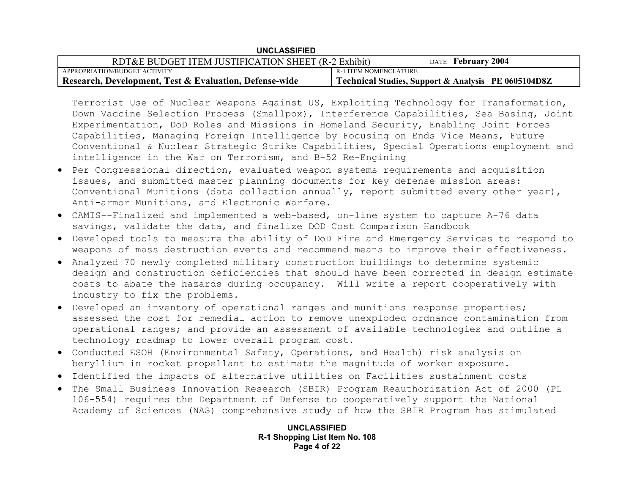| <b>UNCLASSIFIED</b>                                               |                       |                                                     |  |
|-------------------------------------------------------------------|-----------------------|-----------------------------------------------------|--|
| RDT&E BUDGET ITEM JUSTIFICATION SHEET (R-2 Exhibit)               |                       | DATE February 2004                                  |  |
| APPROPRIATION/BUDGET ACTIVITY                                     | R-1 ITEM NOMENCLATURE |                                                     |  |
| <b>Research, Development, Test &amp; Evaluation, Defense-wide</b> |                       | Technical Studies, Support & Analysis PE 0605104D8Z |  |

Terrorist Use of Nuclear Weapons Against US, Exploiting Technology for Transformation, Down Vaccine Selection Process (Smallpox), Interference Capabilities, Sea Basing, Joint Experimentation, DoD Roles and Missions in Homeland Security, Enabling Joint Forces Capabilities, Managing Foreign Intelligence by Focusing on Ends Vice Means, Future Conventional & Nuclear Strategic Strike Capabilities, Special Operations employment and intelligence in the War on Terrorism, and B-52 Re-Engining

- Per Congressional direction, evaluated weapon systems requirements and acquisition issues, and submitted master planning documents for key defense mission areas: Conventional Munitions (data collection annually, report submitted every other year), Anti-armor Munitions, and Electronic Warfare.
- CAMIS--Finalized and implemented a web-based, on-line system to capture A-76 data savings, validate the data, and finalize DOD Cost Comparison Handbook
- Developed tools to measure the ability of DoD Fire and Emergency Services to respond to weapons of mass destruction events and recommend means to improve their effectiveness.
- Analyzed 70 newly completed military construction buildings to determine systemic design and construction deficiencies that should have been corrected in design estimate costs to abate the hazards during occupancy. Will write a report cooperatively with industry to fix the problems.
- Developed an inventory of operational ranges and munitions response properties; assessed the cost for remedial action to remove unexploded ordnance contamination from operational ranges; and provide an assessment of available technologies and outline a technology roadmap to lower overall program cost.
- Conducted ESOH (Environmental Safety, Operations, and Health) risk analysis on beryllium in rocket propellant to estimate the magnitude of worker exposure.
- Identified the impacts of alternative utilities on Facilities sustainment costs
- The Small Business Innovation Research (SBIR) Program Reauthorization Act of 2000 (PL 106-554) requires the Department of Defense to cooperatively support the National Academy of Sciences (NAS) comprehensive study of how the SBIR Program has stimulated

**UNCLASSIFIED R-1 Shopping List Item No. 108 Page 4 of 22**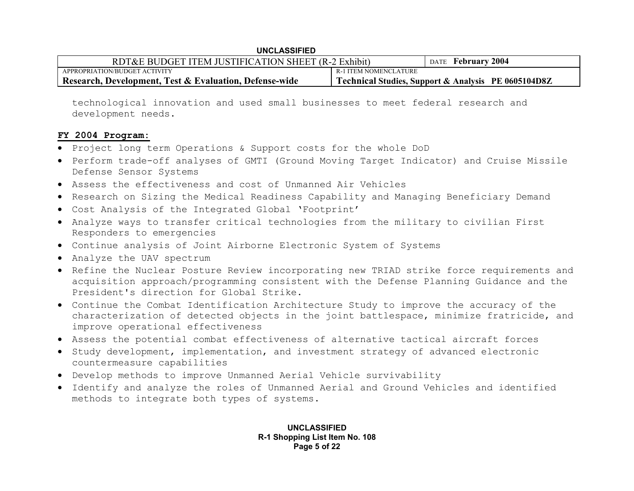| RDT&E BUDGET ITEM JUSTIFICATION SHEET (R-2 Exhibit)    |                       | DATE February 2004                                  |
|--------------------------------------------------------|-----------------------|-----------------------------------------------------|
| APPROPRIATION/BUDGET ACTIVITY                          | R-1 ITEM NOMENCLATURE |                                                     |
| Research, Development, Test & Evaluation, Defense-wide |                       | Technical Studies, Support & Analysis PE 0605104D8Z |

technological innovation and used small businesses to meet federal research and development needs.

### **FY 2004 Program:**

- Project long term Operations & Support costs for the whole DoD
- Perform trade-off analyses of GMTI (Ground Moving Target Indicator) and Cruise Missile Defense Sensor Systems
- Assess the effectiveness and cost of Unmanned Air Vehicles
- Research on Sizing the Medical Readiness Capability and Managing Beneficiary Demand
- Cost Analysis of the Integrated Global 'Footprint'
- Analyze ways to transfer critical technologies from the military to civilian First Responders to emergencies
- Continue analysis of Joint Airborne Electronic System of Systems
- Analyze the UAV spectrum
- Refine the Nuclear Posture Review incorporating new TRIAD strike force requirements and acquisition approach/programming consistent with the Defense Planning Guidance and the President's direction for Global Strike.
- Continue the Combat Identification Architecture Study to improve the accuracy of the characterization of detected objects in the joint battlespace, minimize fratricide, and improve operational effectiveness
- Assess the potential combat effectiveness of alternative tactical aircraft forces
- Study development, implementation, and investment strategy of advanced electronic countermeasure capabilities
- Develop methods to improve Unmanned Aerial Vehicle survivability
- Identify and analyze the roles of Unmanned Aerial and Ground Vehicles and identified methods to integrate both types of systems.

**UNCLASSIFIED R-1 Shopping List Item No. 108 Page 5 of 22**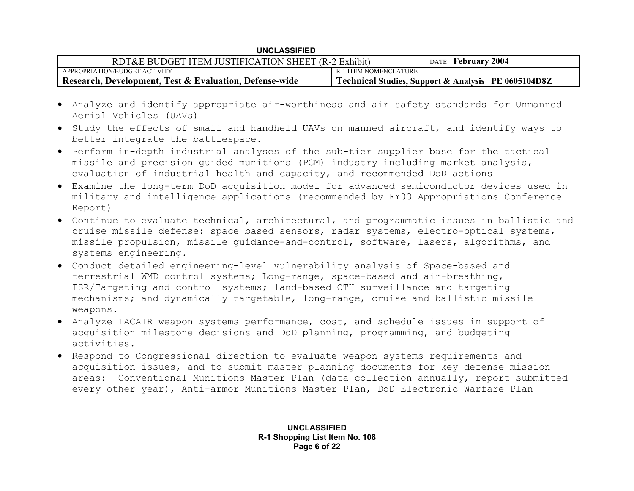|  | <b>UNCLASSIFIED</b> |
|--|---------------------|
|--|---------------------|

| RDT&E BUDGET ITEM JUSTIFICATION SHEET (R-2 Exhibit)               |                       | DATE February 2004                                  |
|-------------------------------------------------------------------|-----------------------|-----------------------------------------------------|
| APPROPRIATION/BUDGET ACTIVITY                                     | R-1 ITEM NOMENCLATURE |                                                     |
| <b>Research, Development, Test &amp; Evaluation, Defense-wide</b> |                       | Technical Studies, Support & Analysis PE 0605104D8Z |

- Analyze and identify appropriate air-worthiness and air safety standards for Unmanned Aerial Vehicles (UAVs)
- Study the effects of small and handheld UAVs on manned aircraft, and identify ways to better integrate the battlespace.
- Perform in-depth industrial analyses of the sub-tier supplier base for the tactical missile and precision guided munitions (PGM) industry including market analysis, evaluation of industrial health and capacity, and recommended DoD actions
- Examine the long-term DoD acquisition model for advanced semiconductor devices used in military and intelligence applications (recommended by FY03 Appropriations Conference Report)
- Continue to evaluate technical, architectural, and programmatic issues in ballistic and cruise missile defense: space based sensors, radar systems, electro-optical systems, missile propulsion, missile guidance-and-control, software, lasers, algorithms, and systems engineering.
- Conduct detailed engineering-level vulnerability analysis of Space-based and terrestrial WMD control systems; Long-range, space-based and air-breathing, ISR/Targeting and control systems; land-based OTH surveillance and targeting mechanisms; and dynamically targetable, long-range, cruise and ballistic missile weapons.
- Analyze TACAIR weapon systems performance, cost, and schedule issues in support of acquisition milestone decisions and DoD planning, programming, and budgeting activities.
- Respond to Congressional direction to evaluate weapon systems requirements and acquisition issues, and to submit master planning documents for key defense mission areas: Conventional Munitions Master Plan (data collection annually, report submitted every other year), Anti-armor Munitions Master Plan, DoD Electronic Warfare Plan

**UNCLASSIFIED R-1 Shopping List Item No. 108 Page 6 of 22**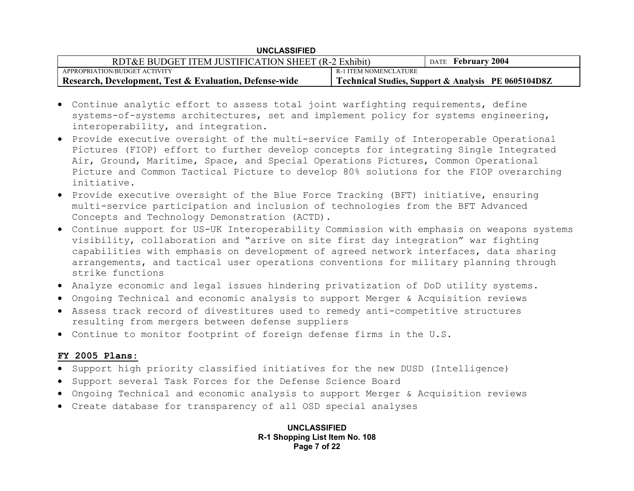| RDT&E BUDGET ITEM JUSTIFICATION SHEET (R-2 Exhibit)    |                       | DATE February 2004                                  |
|--------------------------------------------------------|-----------------------|-----------------------------------------------------|
| APPROPRIATION/BUDGET ACTIVITY                          | R-1 ITEM NOMENCLATURE |                                                     |
| Research, Development, Test & Evaluation, Defense-wide |                       | Technical Studies, Support & Analysis PE 0605104D8Z |

- Continue analytic effort to assess total joint warfighting requirements, define systems-of-systems architectures, set and implement policy for systems engineering, interoperability, and integration.
- Provide executive oversight of the multi-service Family of Interoperable Operational Pictures (FIOP) effort to further develop concepts for integrating Single Integrated Air, Ground, Maritime, Space, and Special Operations Pictures, Common Operational Picture and Common Tactical Picture to develop 80% solutions for the FIOP overarching initiative.
- Provide executive oversight of the Blue Force Tracking (BFT) initiative, ensuring multi-service participation and inclusion of technologies from the BFT Advanced Concepts and Technology Demonstration (ACTD).
- Continue support for US-UK Interoperability Commission with emphasis on weapons systems visibility, collaboration and "arrive on site first day integration" war fighting capabilities with emphasis on development of agreed network interfaces, data sharing arrangements, and tactical user operations conventions for military planning through strike functions
- Analyze economic and legal issues hindering privatization of DoD utility systems.
- Ongoing Technical and economic analysis to support Merger & Acquisition reviews
- Assess track record of divestitures used to remedy anti-competitive structures resulting from mergers between defense suppliers
- Continue to monitor footprint of foreign defense firms in the U.S.

### **FY 2005 Plans:**

- Support high priority classified initiatives for the new DUSD (Intelligence)
- Support several Task Forces for the Defense Science Board
- Ongoing Technical and economic analysis to support Merger & Acquisition reviews
- Create database for transparency of all OSD special analyses

**UNCLASSIFIED R-1 Shopping List Item No. 108 Page 7 of 22**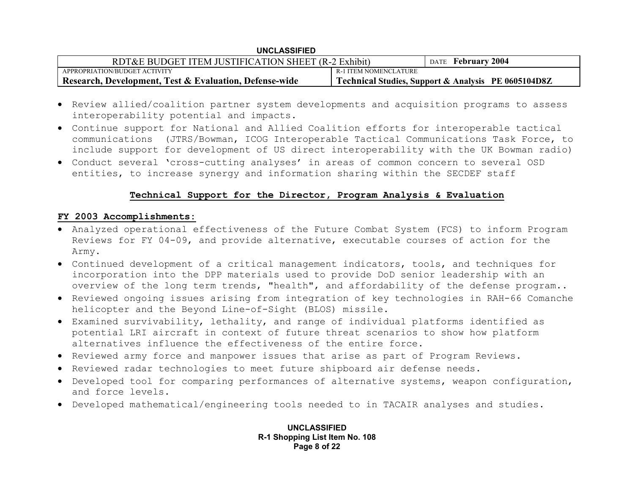| <b>UNCLASSIFIED</b>                                    |                       |                                                     |  |
|--------------------------------------------------------|-----------------------|-----------------------------------------------------|--|
| RDT&E BUDGET ITEM JUSTIFICATION SHEET (R-2 Exhibit)    |                       | DATE February 2004                                  |  |
| APPROPRIATION/BUDGET ACTIVITY                          | R-1 ITEM NOMENCLATURE |                                                     |  |
| Research, Development, Test & Evaluation, Defense-wide |                       | Technical Studies, Support & Analysis PE 0605104D8Z |  |

- Review allied/coalition partner system developments and acquisition programs to assess interoperability potential and impacts.
- Continue support for National and Allied Coalition efforts for interoperable tactical communications (JTRS/Bowman, ICOG Interoperable Tactical Communications Task Force, to include support for development of US direct interoperability with the UK Bowman radio)
- Conduct several 'cross-cutting analyses' in areas of common concern to several OSD entities, to increase synergy and information sharing within the SECDEF staff

## **Technical Support for the Director, Program Analysis & Evaluation**

## **FY 2003 Accomplishments:**

- Analyzed operational effectiveness of the Future Combat System (FCS) to inform Program Reviews for FY 04-09, and provide alternative, executable courses of action for the Army.
- Continued development of a critical management indicators, tools, and techniques for incorporation into the DPP materials used to provide DoD senior leadership with an overview of the long term trends, "health", and affordability of the defense program..
- Reviewed ongoing issues arising from integration of key technologies in RAH-66 Comanche helicopter and the Beyond Line-of-Sight (BLOS) missile.
- Examined survivability, lethality, and range of individual platforms identified as potential LRI aircraft in context of future threat scenarios to show how platform alternatives influence the effectiveness of the entire force.
- Reviewed army force and manpower issues that arise as part of Program Reviews.
- Reviewed radar technologies to meet future shipboard air defense needs.
- Developed tool for comparing performances of alternative systems, weapon configuration, and force levels.
- Developed mathematical/engineering tools needed to in TACAIR analyses and studies.

**UNCLASSIFIED R-1 Shopping List Item No. 108 Page 8 of 22**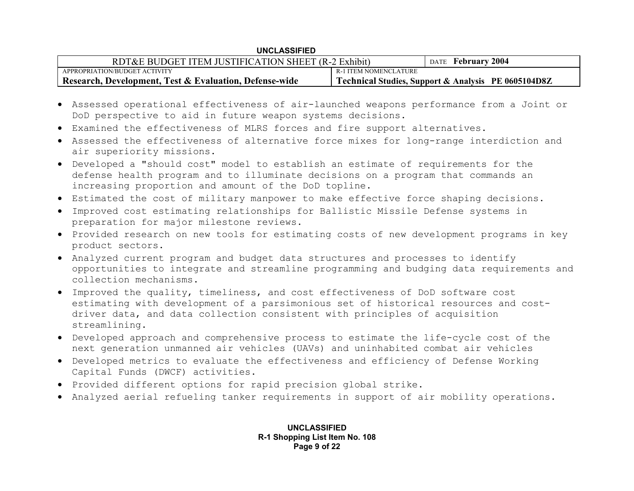| RDT&E BUDGET ITEM JUSTIFICATION SHEET (R-2 Exhibit)    |                       | DATE February 2004                                  |
|--------------------------------------------------------|-----------------------|-----------------------------------------------------|
| APPROPRIATION/BUDGET ACTIVITY                          | R-1 ITEM NOMENCLATURE |                                                     |
| Research, Development, Test & Evaluation, Defense-wide |                       | Technical Studies, Support & Analysis PE 0605104D8Z |

- Assessed operational effectiveness of air-launched weapons performance from a Joint or DoD perspective to aid in future weapon systems decisions.
- Examined the effectiveness of MLRS forces and fire support alternatives.
- Assessed the effectiveness of alternative force mixes for long-range interdiction and air superiority missions.
- Developed a "should cost" model to establish an estimate of requirements for the defense health program and to illuminate decisions on a program that commands an increasing proportion and amount of the DoD topline.
- Estimated the cost of military manpower to make effective force shaping decisions.
- Improved cost estimating relationships for Ballistic Missile Defense systems in preparation for major milestone reviews.
- Provided research on new tools for estimating costs of new development programs in key product sectors.
- Analyzed current program and budget data structures and processes to identify opportunities to integrate and streamline programming and budging data requirements and collection mechanisms.
- Improved the quality, timeliness, and cost effectiveness of DoD software cost estimating with development of a parsimonious set of historical resources and costdriver data, and data collection consistent with principles of acquisition streamlining.
- Developed approach and comprehensive process to estimate the life-cycle cost of the next generation unmanned air vehicles (UAVs) and uninhabited combat air vehicles
- Developed metrics to evaluate the effectiveness and efficiency of Defense Working Capital Funds (DWCF) activities.
- Provided different options for rapid precision global strike.
- Analyzed aerial refueling tanker requirements in support of air mobility operations.

**UNCLASSIFIED R-1 Shopping List Item No. 108 Page 9 of 22**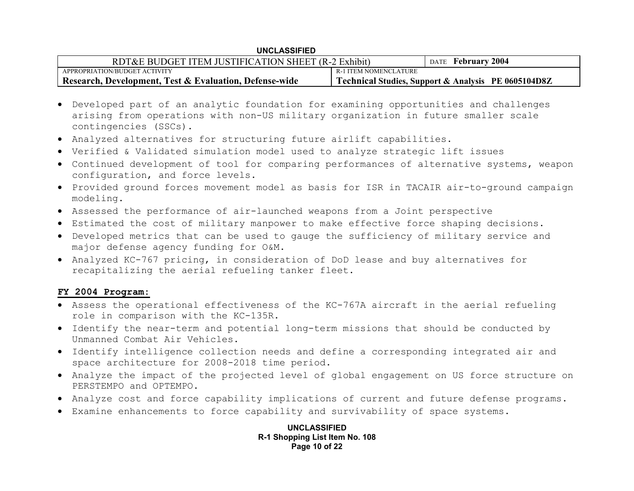| RDT&E BUDGET ITEM JUSTIFICATION SHEET (R-2 Exhibit)    |                       | DATE February 2004                                  |
|--------------------------------------------------------|-----------------------|-----------------------------------------------------|
| APPROPRIATION/BUDGET ACTIVITY                          | R-1 ITEM NOMENCLATURE |                                                     |
| Research, Development, Test & Evaluation, Defense-wide |                       | Technical Studies, Support & Analysis PE 0605104D8Z |

- Developed part of an analytic foundation for examining opportunities and challenges arising from operations with non-US military organization in future smaller scale contingencies (SSCs).
- Analyzed alternatives for structuring future airlift capabilities.
- Verified & Validated simulation model used to analyze strategic lift issues
- Continued development of tool for comparing performances of alternative systems, weapon configuration, and force levels.
- Provided ground forces movement model as basis for ISR in TACAIR air-to-ground campaign modeling.
- Assessed the performance of air-launched weapons from a Joint perspective
- Estimated the cost of military manpower to make effective force shaping decisions.
- Developed metrics that can be used to gauge the sufficiency of military service and major defense agency funding for O&M.
- Analyzed KC-767 pricing, in consideration of DoD lease and buy alternatives for recapitalizing the aerial refueling tanker fleet.

## **FY 2004 Program:**

- Assess the operational effectiveness of the KC-767A aircraft in the aerial refueling role in comparison with the KC-135R.
- Identify the near-term and potential long-term missions that should be conducted by Unmanned Combat Air Vehicles.
- Identify intelligence collection needs and define a corresponding integrated air and space architecture for 2008-2018 time period.
- Analyze the impact of the projected level of global engagement on US force structure on PERSTEMPO and OPTEMPO.
- Analyze cost and force capability implications of current and future defense programs.
- Examine enhancements to force capability and survivability of space systems.

**UNCLASSIFIED R-1 Shopping List Item No. 108 Page 10 of 22**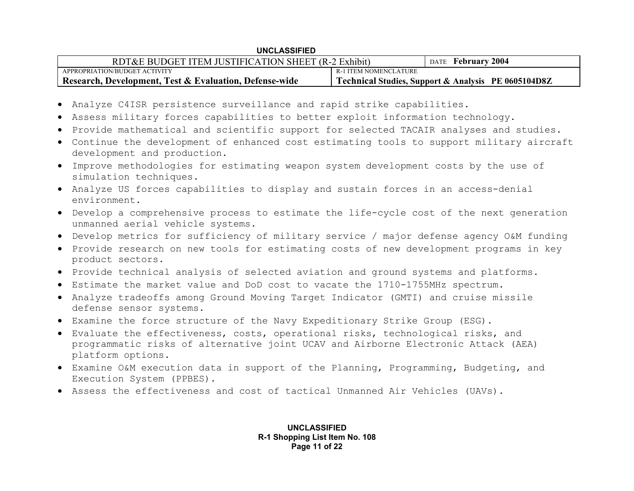| RDT&E BUDGET ITEM JUSTIFICATION SHEET (R-2 Exhibit)    |                       | DATE February 2004                                  |
|--------------------------------------------------------|-----------------------|-----------------------------------------------------|
| APPROPRIATION/BUDGET ACTIVITY                          | R-1 ITEM NOMENCLATURE |                                                     |
| Research, Development, Test & Evaluation, Defense-wide |                       | Technical Studies, Support & Analysis PE 0605104D8Z |

- Analyze C4ISR persistence surveillance and rapid strike capabilities.
- Assess military forces capabilities to better exploit information technology.
- Provide mathematical and scientific support for selected TACAIR analyses and studies.
- Continue the development of enhanced cost estimating tools to support military aircraft development and production.
- Improve methodologies for estimating weapon system development costs by the use of simulation techniques.
- Analyze US forces capabilities to display and sustain forces in an access-denial environment.
- Develop a comprehensive process to estimate the life-cycle cost of the next generation unmanned aerial vehicle systems.
- Develop metrics for sufficiency of military service / major defense agency O&M funding
- Provide research on new tools for estimating costs of new development programs in key product sectors.
- Provide technical analysis of selected aviation and ground systems and platforms.
- Estimate the market value and DoD cost to vacate the 1710-1755MHz spectrum.
- Analyze tradeoffs among Ground Moving Target Indicator (GMTI) and cruise missile defense sensor systems.
- Examine the force structure of the Navy Expeditionary Strike Group (ESG).
- Evaluate the effectiveness, costs, operational risks, technological risks, and programmatic risks of alternative joint UCAV and Airborne Electronic Attack (AEA) platform options.
- Examine O&M execution data in support of the Planning, Programming, Budgeting, and Execution System (PPBES).
- Assess the effectiveness and cost of tactical Unmanned Air Vehicles (UAVs).

**UNCLASSIFIED R-1 Shopping List Item No. 108 Page 11 of 22**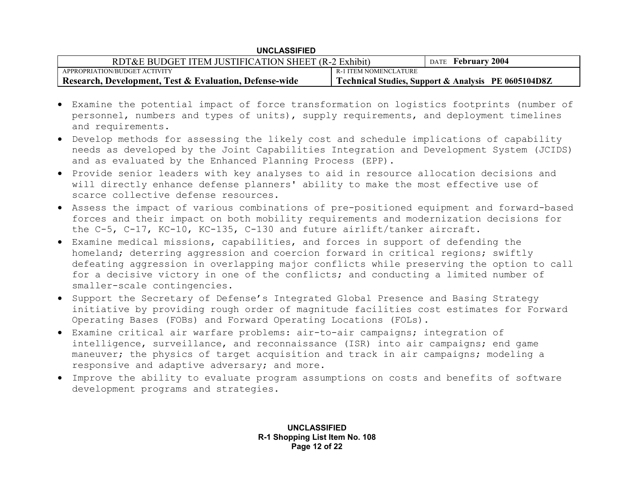| <b>UNCLASSIFIED</b> |
|---------------------|
|---------------------|

| RDT&E BUDGET ITEM JUSTIFICATION SHEET (R-2 Exhibit)    |                       | DATE February 2004                                  |
|--------------------------------------------------------|-----------------------|-----------------------------------------------------|
| APPROPRIATION/BUDGET ACTIVITY                          | R-1 ITEM NOMENCLATURE |                                                     |
| Research, Development, Test & Evaluation, Defense-wide |                       | Technical Studies, Support & Analysis PE 0605104D8Z |

- Examine the potential impact of force transformation on logistics footprints (number of personnel, numbers and types of units), supply requirements, and deployment timelines and requirements.
- Develop methods for assessing the likely cost and schedule implications of capability needs as developed by the Joint Capabilities Integration and Development System (JCIDS) and as evaluated by the Enhanced Planning Process (EPP).
- Provide senior leaders with key analyses to aid in resource allocation decisions and will directly enhance defense planners' ability to make the most effective use of scarce collective defense resources.
- Assess the impact of various combinations of pre-positioned equipment and forward-based forces and their impact on both mobility requirements and modernization decisions for the C-5, C-17, KC-10, KC-135, C-130 and future airlift/tanker aircraft.
- Examine medical missions, capabilities, and forces in support of defending the homeland; deterring aggression and coercion forward in critical regions; swiftly defeating aggression in overlapping major conflicts while preserving the option to call for a decisive victory in one of the conflicts; and conducting a limited number of smaller-scale contingencies.
- Support the Secretary of Defense's Integrated Global Presence and Basing Strategy initiative by providing rough order of magnitude facilities cost estimates for Forward Operating Bases (FOBs) and Forward Operating Locations (FOLs).
- Examine critical air warfare problems: air-to-air campaigns; integration of intelligence, surveillance, and reconnaissance (ISR) into air campaigns; end game maneuver; the physics of target acquisition and track in air campaigns; modeling a responsive and adaptive adversary; and more.
- Improve the ability to evaluate program assumptions on costs and benefits of software development programs and strategies.

**UNCLASSIFIED R-1 Shopping List Item No. 108 Page 12 of 22**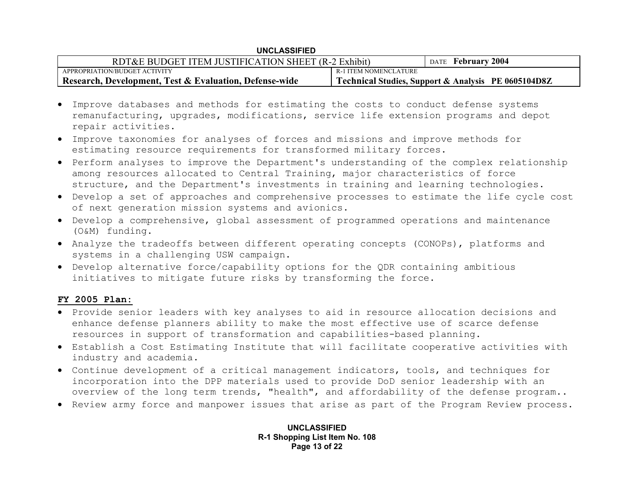| RDT&E BUDGET ITEM JUSTIFICATION SHEET (R-2 Exhibit)                 |                       | DATE February 2004                                  |
|---------------------------------------------------------------------|-----------------------|-----------------------------------------------------|
| APPROPRIATION/BUDGET ACTIVITY                                       | R-1 ITEM NOMENCLATURE |                                                     |
| <sup>1</sup> Research, Development, Test & Evaluation, Defense-wide |                       | Technical Studies, Support & Analysis PE 0605104D8Z |

- Improve databases and methods for estimating the costs to conduct defense systems remanufacturing, upgrades, modifications, service life extension programs and depot repair activities.
- Improve taxonomies for analyses of forces and missions and improve methods for estimating resource requirements for transformed military forces.
- Perform analyses to improve the Department's understanding of the complex relationship among resources allocated to Central Training, major characteristics of force structure, and the Department's investments in training and learning technologies.
- Develop a set of approaches and comprehensive processes to estimate the life cycle cost of next generation mission systems and avionics.
- Develop a comprehensive, global assessment of programmed operations and maintenance (O&M) funding.
- Analyze the tradeoffs between different operating concepts (CONOPs), platforms and systems in a challenging USW campaign.
- Develop alternative force/capability options for the QDR containing ambitious initiatives to mitigate future risks by transforming the force.

## **FY 2005 Plan:**

- Provide senior leaders with key analyses to aid in resource allocation decisions and enhance defense planners ability to make the most effective use of scarce defense resources in support of transformation and capabilities-based planning.
- Establish a Cost Estimating Institute that will facilitate cooperative activities with industry and academia.
- Continue development of a critical management indicators, tools, and techniques for incorporation into the DPP materials used to provide DoD senior leadership with an overview of the long term trends, "health", and affordability of the defense program..
- Review army force and manpower issues that arise as part of the Program Review process.

**UNCLASSIFIED R-1 Shopping List Item No. 108 Page 13 of 22**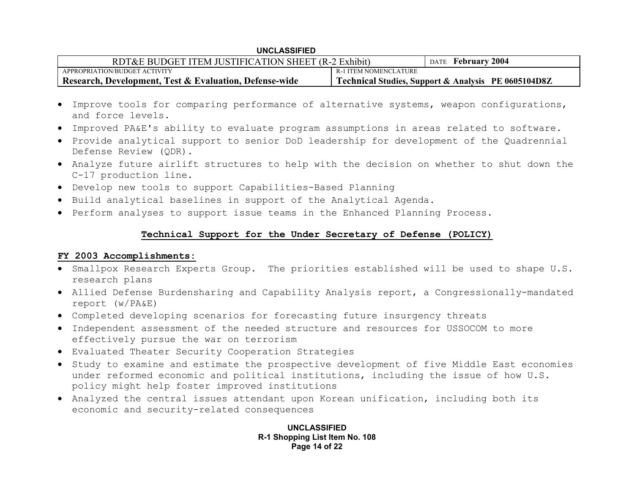| RDT&E BUDGET ITEM JUSTIFICATION SHEET (R-2 Exhibit)               |                       | DATE February 2004                                  |
|-------------------------------------------------------------------|-----------------------|-----------------------------------------------------|
| APPROPRIATION/BUDGET ACTIVITY                                     | R-1 ITEM NOMENCLATURE |                                                     |
| <b>Research, Development, Test &amp; Evaluation, Defense-wide</b> |                       | Technical Studies, Support & Analysis PE 0605104D8Z |

- Improve tools for comparing performance of alternative systems, weapon configurations, and force levels.
- Improved PA&E's ability to evaluate program assumptions in areas related to software.
- Provide analytical support to senior DoD leadership for development of the Quadrennial Defense Review (QDR).
- Analyze future airlift structures to help with the decision on whether to shut down the C-17 production line.
- Develop new tools to support Capabilities-Based Planning
- Build analytical baselines in support of the Analytical Agenda.
- Perform analyses to support issue teams in the Enhanced Planning Process.

## **Technical Support for the Under Secretary of Defense (POLICY)**

## **FY 2003 Accomplishments:**

- Smallpox Research Experts Group. The priorities established will be used to shape U.S. research plans
- Allied Defense Burdensharing and Capability Analysis report, a Congressionally-mandated report (w/PA&E)
- Completed developing scenarios for forecasting future insurgency threats
- Independent assessment of the needed structure and resources for USSOCOM to more effectively pursue the war on terrorism
- Evaluated Theater Security Cooperation Strategies
- Study to examine and estimate the prospective development of five Middle East economies under reformed economic and political institutions, including the issue of how U.S. policy might help foster improved institutions
- Analyzed the central issues attendant upon Korean unification, including both its economic and security-related consequences

**UNCLASSIFIED R-1 Shopping List Item No. 108 Page 14 of 22**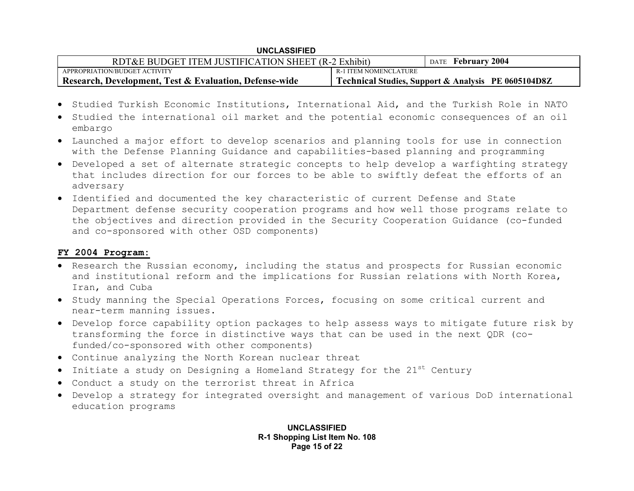| RDT&E BUDGET ITEM JUSTIFICATION SHEET (R-2 Exhibit)               |                       | DATE February 2004                                  |
|-------------------------------------------------------------------|-----------------------|-----------------------------------------------------|
| APPROPRIATION/BUDGET ACTIVITY                                     | R-1 ITEM NOMENCLATURE |                                                     |
| <b>Research, Development, Test &amp; Evaluation, Defense-wide</b> |                       | Technical Studies, Support & Analysis PE 0605104D8Z |

- Studied Turkish Economic Institutions, International Aid, and the Turkish Role in NATO
- Studied the international oil market and the potential economic consequences of an oil embargo
- Launched a major effort to develop scenarios and planning tools for use in connection with the Defense Planning Guidance and capabilities-based planning and programming
- Developed a set of alternate strategic concepts to help develop a warfighting strategy that includes direction for our forces to be able to swiftly defeat the efforts of an adversary
- Identified and documented the key characteristic of current Defense and State Department defense security cooperation programs and how well those programs relate to the objectives and direction provided in the Security Cooperation Guidance (co-funded and co-sponsored with other OSD components)

### **FY 2004 Program:**

- Research the Russian economy, including the status and prospects for Russian economic and institutional reform and the implications for Russian relations with North Korea, Iran, and Cuba
- Study manning the Special Operations Forces, focusing on some critical current and near-term manning issues.
- Develop force capability option packages to help assess ways to mitigate future risk by transforming the force in distinctive ways that can be used in the next QDR (cofunded/co-sponsored with other components)
- Continue analyzing the North Korean nuclear threat
- Initiate a study on Designing a Homeland Strategy for the  $21^{\rm st}$  Century
- Conduct a study on the terrorist threat in Africa
- Develop a strategy for integrated oversight and management of various DoD international education programs

**UNCLASSIFIED R-1 Shopping List Item No. 108 Page 15 of 22**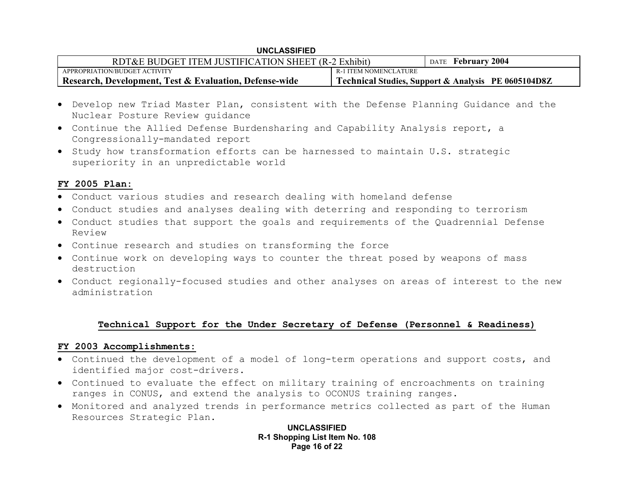| RDT&E BUDGET ITEM JUSTIFICATION SHEET (R-2 Exhibit)    |                       | DATE February 2004                                  |
|--------------------------------------------------------|-----------------------|-----------------------------------------------------|
| APPROPRIATION/BUDGET ACTIVITY                          | R-1 ITEM NOMENCLATURE |                                                     |
| Research, Development, Test & Evaluation, Defense-wide |                       | Technical Studies, Support & Analysis PE 0605104D8Z |

- Develop new Triad Master Plan, consistent with the Defense Planning Guidance and the Nuclear Posture Review guidance
- Continue the Allied Defense Burdensharing and Capability Analysis report, a Congressionally-mandated report
- Study how transformation efforts can be harnessed to maintain U.S. strategic superiority in an unpredictable world

## **FY 2005 Plan:**

- Conduct various studies and research dealing with homeland defense
- Conduct studies and analyses dealing with deterring and responding to terrorism
- Conduct studies that support the goals and requirements of the Quadrennial Defense Review
- Continue research and studies on transforming the force
- Continue work on developing ways to counter the threat posed by weapons of mass destruction
- Conduct regionally-focused studies and other analyses on areas of interest to the new administration

## **Technical Support for the Under Secretary of Defense (Personnel & Readiness)**

### **FY 2003 Accomplishments:**

- Continued the development of a model of long-term operations and support costs, and identified major cost-drivers.
- Continued to evaluate the effect on military training of encroachments on training ranges in CONUS, and extend the analysis to OCONUS training ranges.
- Monitored and analyzed trends in performance metrics collected as part of the Human Resources Strategic Plan.

**UNCLASSIFIED R-1 Shopping List Item No. 108 Page 16 of 22**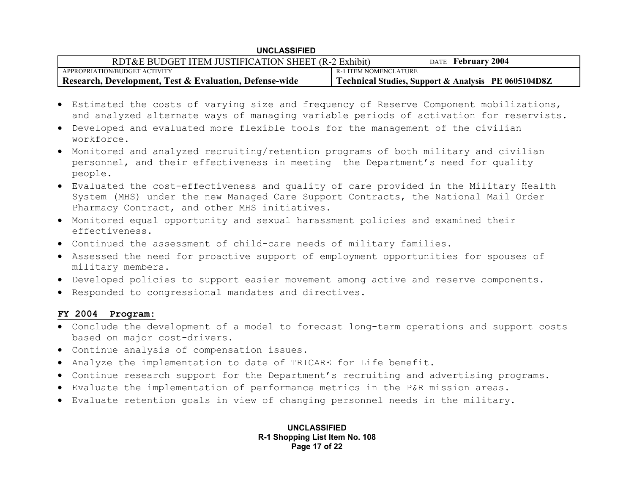| RDT&E BUDGET ITEM JUSTIFICATION SHEET (R-2 Exhibit)    |                       | DATE February 2004                                  |
|--------------------------------------------------------|-----------------------|-----------------------------------------------------|
| APPROPRIATION/BUDGET ACTIVITY                          | R-1 ITEM NOMENCLATURE |                                                     |
| Research, Development, Test & Evaluation, Defense-wide |                       | Technical Studies, Support & Analysis PE 0605104D8Z |

- Estimated the costs of varying size and frequency of Reserve Component mobilizations, and analyzed alternate ways of managing variable periods of activation for reservists.
- Developed and evaluated more flexible tools for the management of the civilian workforce.
- Monitored and analyzed recruiting/retention programs of both military and civilian personnel, and their effectiveness in meeting the Department's need for quality people.
- Evaluated the cost-effectiveness and quality of care provided in the Military Health System (MHS) under the new Managed Care Support Contracts, the National Mail Order Pharmacy Contract, and other MHS initiatives.
- Monitored equal opportunity and sexual harassment policies and examined their effectiveness.
- Continued the assessment of child-care needs of military families.
- Assessed the need for proactive support of employment opportunities for spouses of military members.
- Developed policies to support easier movement among active and reserve components.
- Responded to congressional mandates and directives.

### **FY 2004 Program:**

- Conclude the development of a model to forecast long-term operations and support costs based on major cost-drivers.
- Continue analysis of compensation issues.
- Analyze the implementation to date of TRICARE for Life benefit.
- Continue research support for the Department's recruiting and advertising programs.
- Evaluate the implementation of performance metrics in the P&R mission areas.
- Evaluate retention goals in view of changing personnel needs in the military.

**UNCLASSIFIED R-1 Shopping List Item No. 108 Page 17 of 22**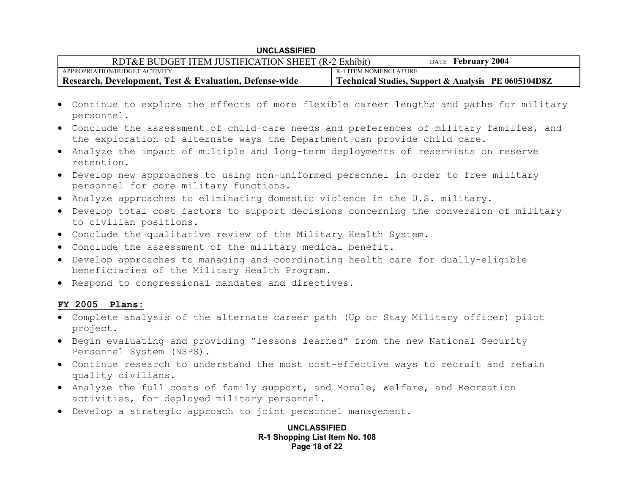| RDT&E BUDGET ITEM JUSTIFICATION SHEET (R-2 Exhibit)               |                       | DATE February 2004                                  |
|-------------------------------------------------------------------|-----------------------|-----------------------------------------------------|
| APPROPRIATION/BUDGET ACTIVITY                                     | R-1 ITEM NOMENCLATURE |                                                     |
| <b>Research, Development, Test &amp; Evaluation, Defense-wide</b> |                       | Technical Studies, Support & Analysis PE 0605104D8Z |

- Continue to explore the effects of more flexible career lengths and paths for military personnel.
- Conclude the assessment of child-care needs and preferences of military families, and the exploration of alternate ways the Department can provide child care.
- Analyze the impact of multiple and long-term deployments of reservists on reserve retention.
- Develop new approaches to using non-uniformed personnel in order to free military personnel for core military functions.
- Analyze approaches to eliminating domestic violence in the U.S. military.
- Develop total cost factors to support decisions concerning the conversion of military to civilian positions.
- Conclude the qualitative review of the Military Health System.
- Conclude the assessment of the military medical benefit.
- Develop approaches to managing and coordinating health care for dually-eligible beneficiaries of the Military Health Program.
- Respond to congressional mandates and directives.

### **FY 2005 Plans:**

- Complete analysis of the alternate career path (Up or Stay Military officer) pilot project.
- Begin evaluating and providing "lessons learned" from the new National Security Personnel System (NSPS).
- Continue research to understand the most cost-effective ways to recruit and retain quality civilians.
- Analyze the full costs of family support, and Morale, Welfare, and Recreation activities, for deployed military personnel.
- Develop a strategic approach to joint personnel management.

**UNCLASSIFIED R-1 Shopping List Item No. 108 Page 18 of 22**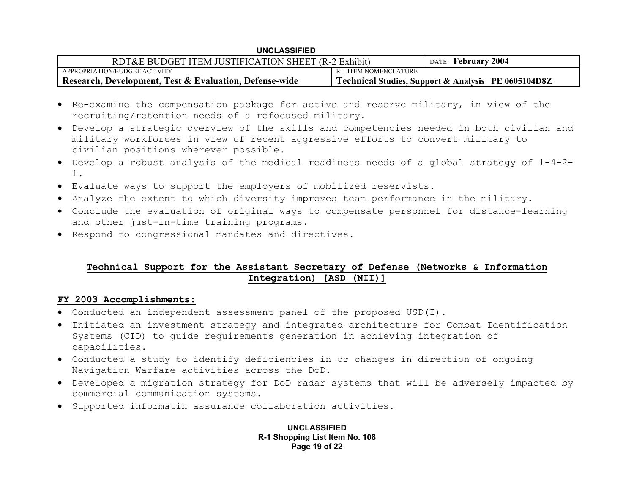| RDT&E BUDGET ITEM JUSTIFICATION SHEET (R-2 Exhibit)    |                       | DATE February 2004                                  |
|--------------------------------------------------------|-----------------------|-----------------------------------------------------|
| APPROPRIATION/BUDGET ACTIVITY                          | R-1 ITEM NOMENCLATURE |                                                     |
| Research, Development, Test & Evaluation, Defense-wide |                       | Technical Studies, Support & Analysis PE 0605104D8Z |

- Re-examine the compensation package for active and reserve military, in view of the recruiting/retention needs of a refocused military.
- Develop a strategic overview of the skills and competencies needed in both civilian and military workforces in view of recent aggressive efforts to convert military to civilian positions wherever possible.
- Develop a robust analysis of the medical readiness needs of a global strategy of 1-4-2- 1.
- Evaluate ways to support the employers of mobilized reservists.
- Analyze the extent to which diversity improves team performance in the military.
- Conclude the evaluation of original ways to compensate personnel for distance-learning and other just-in-time training programs.
- Respond to congressional mandates and directives.

# **Technical Support for the Assistant Secretary of Defense (Networks & Information Integration) [ASD (NII)]**

### **FY 2003 Accomplishments:**

- Conducted an independent assessment panel of the proposed USD(I).
- Initiated an investment strategy and integrated architecture for Combat Identification Systems (CID) to guide requirements generation in achieving integration of capabilities.
- Conducted a study to identify deficiencies in or changes in direction of ongoing Navigation Warfare activities across the DoD.
- Developed a migration strategy for DoD radar systems that will be adversely impacted by commercial communication systems.
- Supported informatin assurance collaboration activities.

**UNCLASSIFIED R-1 Shopping List Item No. 108 Page 19 of 22**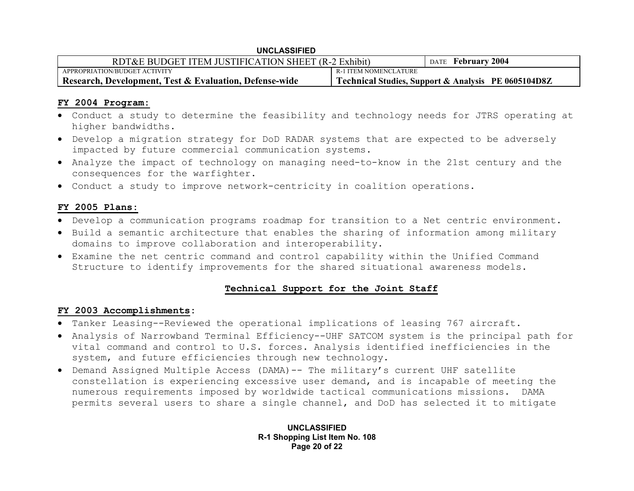| <b>UNCLASSIFIED</b>                                    |                       |                                                     |
|--------------------------------------------------------|-----------------------|-----------------------------------------------------|
| RDT&E BUDGET ITEM JUSTIFICATION SHEET (R-2 Exhibit)    |                       | DATE February 2004                                  |
| APPROPRIATION/BUDGET ACTIVITY                          | R-1 ITEM NOMENCLATURE |                                                     |
| Research, Development, Test & Evaluation, Defense-wide |                       | Technical Studies, Support & Analysis PE 0605104D8Z |

## **FY 2004 Program:**

- Conduct a study to determine the feasibility and technology needs for JTRS operating at higher bandwidths.
- Develop a migration strategy for DoD RADAR systems that are expected to be adversely impacted by future commercial communication systems.
- Analyze the impact of technology on managing need-to-know in the 21st century and the consequences for the warfighter.
- Conduct a study to improve network-centricity in coalition operations.

## **FY 2005 Plans:**

- Develop a communication programs roadmap for transition to a Net centric environment.
- Build a semantic architecture that enables the sharing of information among military domains to improve collaboration and interoperability.
- Examine the net centric command and control capability within the Unified Command Structure to identify improvements for the shared situational awareness models.

# **Technical Support for the Joint Staff**

## **FY 2003 Accomplishments:**

- Tanker Leasing--Reviewed the operational implications of leasing 767 aircraft.
- Analysis of Narrowband Terminal Efficiency--UHF SATCOM system is the principal path for vital command and control to U.S. forces. Analysis identified inefficiencies in the system, and future efficiencies through new technology.
- Demand Assigned Multiple Access (DAMA)-- The military's current UHF satellite constellation is experiencing excessive user demand, and is incapable of meeting the numerous requirements imposed by worldwide tactical communications missions. DAMA permits several users to share a single channel, and DoD has selected it to mitigate

**UNCLASSIFIED R-1 Shopping List Item No. 108 Page 20 of 22**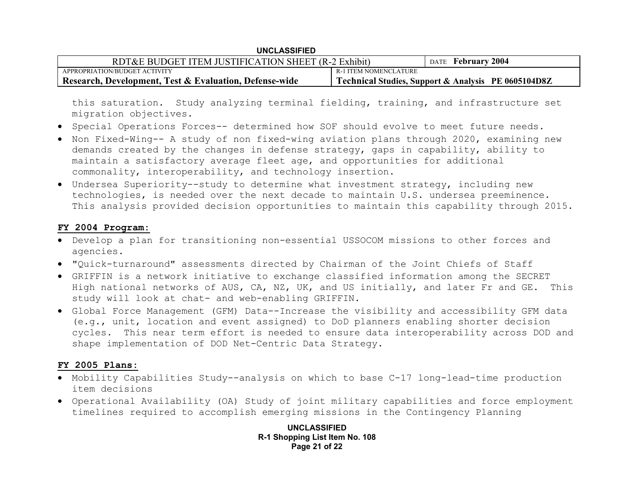| RDT&E BUDGET ITEM JUSTIFICATION SHEET (R-2 Exhibit)               |                       | DATE February 2004                                  |
|-------------------------------------------------------------------|-----------------------|-----------------------------------------------------|
| APPROPRIATION/BUDGET ACTIVITY                                     | R-1 ITEM NOMENCLATURE |                                                     |
| <b>Research, Development, Test &amp; Evaluation, Defense-wide</b> |                       | Technical Studies, Support & Analysis PE 0605104D8Z |

this saturation. Study analyzing terminal fielding, training, and infrastructure set migration objectives.

- Special Operations Forces-- determined how SOF should evolve to meet future needs.
- Non Fixed-Wing-- A study of non fixed-wing aviation plans through 2020, examining new demands created by the changes in defense strategy, gaps in capability, ability to maintain a satisfactory average fleet age, and opportunities for additional commonality, interoperability, and technology insertion.
- Undersea Superiority--study to determine what investment strategy, including new technologies, is needed over the next decade to maintain U.S. undersea preeminence. This analysis provided decision opportunities to maintain this capability through 2015.

### **FY 2004 Program:**

- Develop a plan for transitioning non-essential USSOCOM missions to other forces and agencies.
- "Quick-turnaround" assessments directed by Chairman of the Joint Chiefs of Staff
- GRIFFIN is a network initiative to exchange classified information among the SECRET High national networks of AUS, CA, NZ, UK, and US initially, and later Fr and GE. This study will look at chat- and web-enabling GRIFFIN.
- Global Force Management (GFM) Data--Increase the visibility and accessibility GFM data (e.g., unit, location and event assigned) to DoD planners enabling shorter decision cycles. This near term effort is needed to ensure data interoperability across DOD and shape implementation of DOD Net-Centric Data Strategy.

### **FY 2005 Plans:**

- Mobility Capabilities Study--analysis on which to base C-17 long-lead-time production item decisions
- Operational Availability (OA) Study of joint military capabilities and force employment timelines required to accomplish emerging missions in the Contingency Planning

**UNCLASSIFIED R-1 Shopping List Item No. 108 Page 21 of 22**